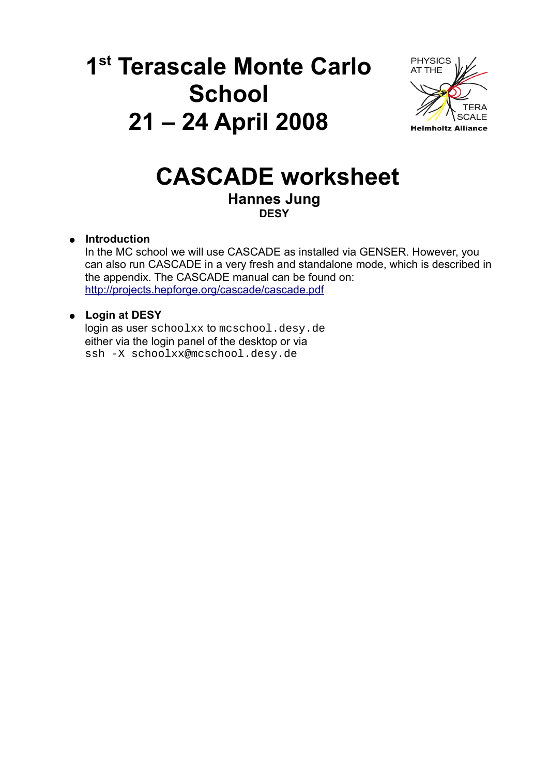# **1 st Terascale Monte Carlo School 21 – 24 April 2008**



# **CASCADE worksheet Hannes Jung DESY**

# ● **Introduction**

In the MC school we will use CASCADE as installed via GENSER. However, you can also run CASCADE in a very fresh and standalone mode, which is described in the appendix. The CASCADE manual can be found on: <http://projects.hepforge.org/cascade/cascade.pdf>

# ● **Login at DESY**

login as user schoolxx to mcschool.desy.de either via the login panel of the desktop or via ssh -X schoolxx@mcschool.desy.de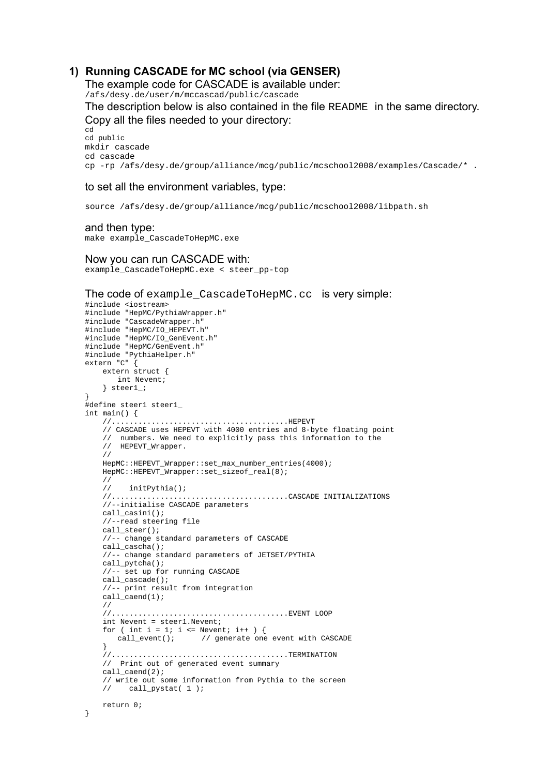### **1) Running CASCADE for MC school (via GENSER)**

The example code for CASCADE is available under:

/afs/desy.de/user/m/mccascad/public/cascade

The description below is also contained in the file README in the same directory. Copy all the files needed to your directory:

cd cd public mkdir cascade cd cascade cp -rp /afs/desy.de/group/alliance/mcg/public/mcschool2008/examples/Cascade/\* .

#### to set all the environment variables, type:

source /afs/desy.de/group/alliance/mcg/public/mcschool2008/libpath.sh

and then type:

make example CascadeToHepMC.exe

#### Now you can run CASCADE with:

example\_CascadeToHepMC.exe < steer\_pp-top

#### The code of example\_CascadeToHepMC.cc is very simple:

```
#include <iostream>
#include "HepMC/PythiaWrapper.h"
#include "CascadeWrapper.h"
#include "HepMC/IO_HEPEVT.h"
#include "HepMC/IO_GenEvent.h"
#include "HepMC/GenEvent.h"
#include "PythiaHelper.h"
extern "C" {
    extern struct {
       int Nevent;
     } steer1_;
}
#define steer1 steer1_
int main() { 
    1/7.......................................... HEPEVT
     // CASCADE uses HEPEVT with 4000 entries and 8-byte floating point
 // numbers. We need to explicitly pass this information to the 
 // HEPEVT_Wrapper.
     //
    HepMC::HEPEVT Wrapper::set max number entries(4000);
     HepMC::HEPEVT_Wrapper::set_sizeof_real(8);
     //
          initPythia();
     //........................................CASCADE INITIALIZATIONS
     //--initialise CASCADE parameters
     call_casini();
     //--read steering file
     call_steer();
     //-- change standard parameters of CASCADE
     call_cascha();
     //-- change standard parameters of JETSET/PYTHIA
     call_pytcha();
     //-- set up for running CASCADE 
     call_cascade();
     //-- print result from integration
     call_caend(1); 
     //
     //........................................EVENT LOOP
     int Nevent = steer1.Nevent;
    for ( int i = 1; i <= Nevent; i++ ) {<br>call_event(); // generate one
                          // generate one event with CASCADE
 }
     //........................................TERMINATION
     // Print out of generated event summary
     call_caend(2);
    // write out some information from Pythia to the screen
          // call_pystat( 1 ); 
     return 0;
}
```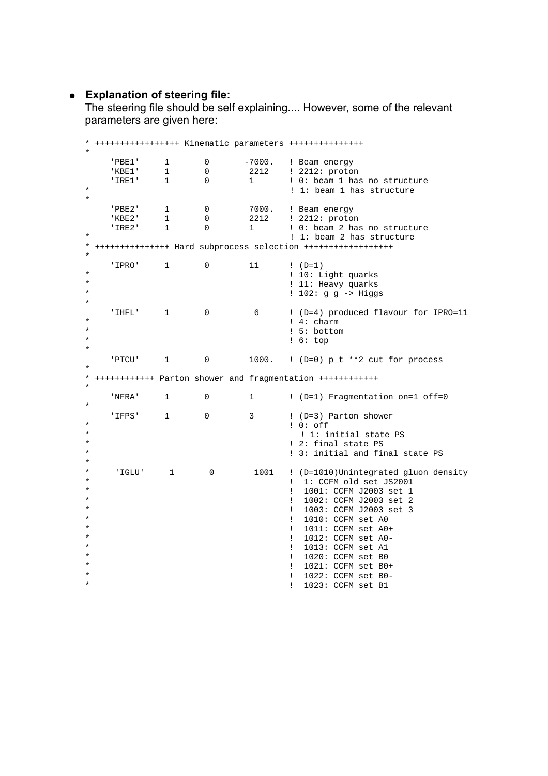## ● **Explanation of steering file:**

The steering file should be self explaining.... However, some of the relevant parameters are given here:

\* +++++++++++++++++ Kinematic parameters +++++++++++++++ \* 'PBE1' 1 0 -7000. ! Beam energy ! 2212: proton  $\begin{array}{cccc}\n \cdot & \text{IRE1'} & 1 & 0 & 1 \\
 \cdot & \cdot & \cdot & \cdot \\
 \cdot & \cdot & \cdot & \cdot \\
 \end{array}$ ! 1: beam 1 has structure \* 'PBE2' 1 0 7000. ! Beam energy 0 2212 ! 2212: proton<br>0 1 ! 0: beam 2 has 'IRE2' 1 0 1 ! 0: beam 2 has no structure \* ! 1: beam 2 has structure \* +++++++++++++++ Hard subprocess selection ++++++++++++++++++ \* 'IPRO' 1 0 11 ! (D=1) \* ! 10: Light quarks \* ! 11: Heavy quarks  $: 102: g g \rightarrow Higgs$ \* 'IHFL' 1 0 6 ! (D=4) produced flavour for IPRO=11 \* ! 4: charm \*  $\qquad \qquad$  1.5: bottom<br>\* 1.6: top \* ! 6: top  $\star$  'PTCU' 1 0 1000. ! (D=0) p\_t \*\*2 cut for process \* \* ++++++++++++ Parton shower and fragmentation ++++++++++++ \* 'NFRA' 1 0 1 ! (D=1) Fragmentation on=1 off=0 \* 'IFPS'  $1 \t 0 \t 3 \t (D=3)$  Parton shower \* ! 0: off ! 1: initial state PS \* ! 2: final state PS ! 3: initial and final state PS \* \* 'IGLU' 1 0 1001 ! (D=1010)Unintegrated gluon density ! 1: CCFM old set JS2001 \* ! 1001: CCFM J2003 set 1 \* ! 1002: CCFM J2003 set 2 \*  $\qquad \qquad$  ! 1003: CCFM J2003 set 3 \* ! 1010: CCFM set A0 ! 1011: CCFM set A0+ ! 1012: CCFM set A0-! 1013: CCFM set A1 ! 1020: CCFM set B0 \* ! 1021: CCFM set B0+ ! 1022: CCFM set B0-! 1023: CCFM set B1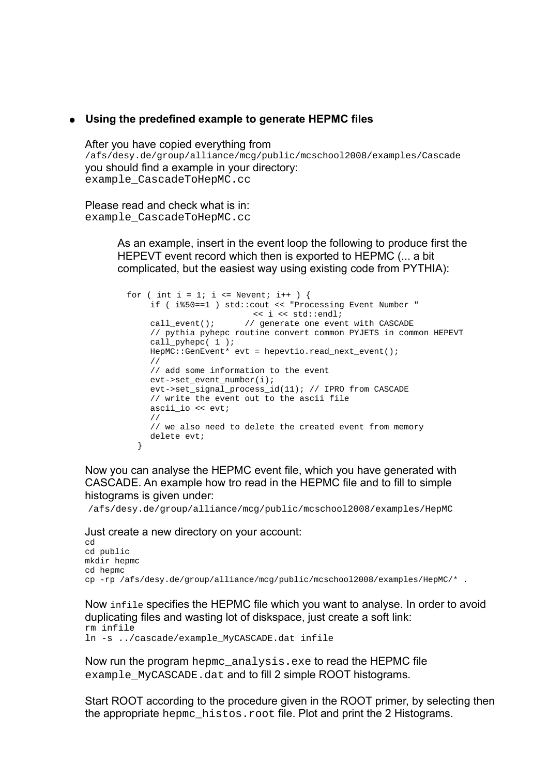### ● **Using the predefined example to generate HEPMC files**

After you have copied everything from /afs/desy.de/group/alliance/mcg/public/mcschool2008/examples/Cascade you should find a example in your directory: example\_CascadeToHepMC.cc

Please read and check what is in: example\_CascadeToHepMC.cc

> As an example, insert in the event loop the following to produce first the HEPEVT event record which then is exported to HEPMC (... a bit complicated, but the easiest way using existing code from PYTHIA):

```
for ( int i = 1; i <= Nevent; i++ ) {
    if ( i%50==1 ) std::cout << "Processing Event Number " 
                        \lt i \lt std::endl;
    call event(); \frac{1}{2} generate one event with CASCADE
    // pythia pyhepc routine convert common PYJETS in common HEPEVT
    call_pyhepc(1);
    HepMC::GenEvent* evt = hepevtio.read next event();
    //
    // add some information to the event
    evt->set_event_number(i);
    evt->set_signal_process_id(11); // IPRO from CASCADE
    // write the event out to the ascii file
    ascii_io << evt;
    //
    // we also need to delete the created event from memory
    delete evt;
   }
```
Now you can analyse the HEPMC event file, which you have generated with CASCADE. An example how tro read in the HEPMC file and to fill to simple histograms is given under:

/afs/desy.de/group/alliance/mcg/public/mcschool2008/examples/HepMC

Just create a new directory on your account:

cd cd public mkdir hepmc cd hepmc cp -rp /afs/desy.de/group/alliance/mcg/public/mcschool2008/examples/HepMC/\* .

Now infile specifies the HEPMC file which you want to analyse. In order to avoid duplicating files and wasting lot of diskspace, just create a soft link: rm infile

ln -s ../cascade/example\_MyCASCADE.dat infile

Now run the program hepmc analysis.exe to read the HEPMC file example MyCASCADE.dat and to fill 2 simple ROOT histograms.

Start ROOT according to the procedure given in the ROOT primer, by selecting then the appropriate hepme histos.root file. Plot and print the 2 Histograms.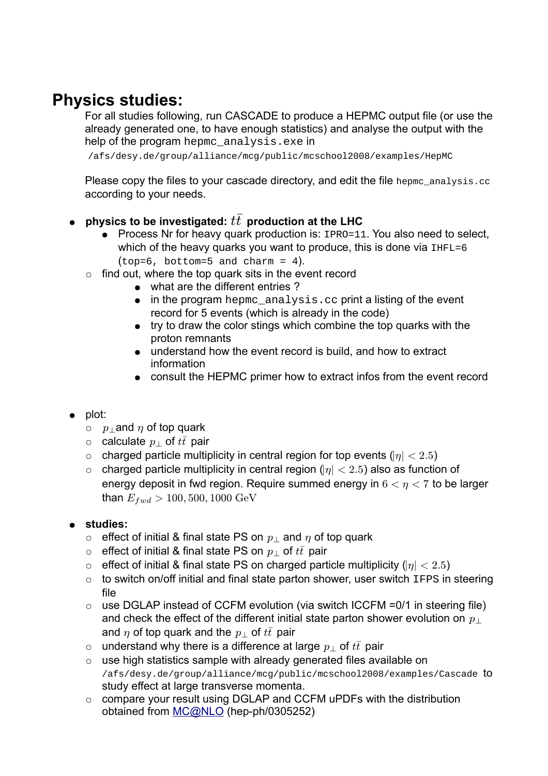# **Physics studies:**

For all studies following, run CASCADE to produce a HEPMC output file (or use the already generated one, to have enough statistics) and analyse the output with the help of the program hepme analysis.exe in

/afs/desy.de/group/alliance/mcg/public/mcschool2008/examples/HepMC

Please copy the files to your cascade directory, and edit the file hepmc\_analysis.cc according to your needs.

- $\bullet$   $\;$  physics to be investigated:  $t\bar{t}\;$  production at the LHC
	- Process Nr for heavy quark production is: IPRO=11. You also need to select, which of the heavy quarks you want to produce, this is done via  $I_{\text{HFL}=6}$  $(top=6, bottom=5 and charm = 4).$
	- $\circ$  find out, where the top quark sits in the event record
		- what are the different entries?
		- $\bullet$  in the program hepmc analysis.cc print a listing of the event record for 5 events (which is already in the code)
		- try to draw the color stings which combine the top quarks with the proton remnants
		- understand how the event record is build, and how to extract information
		- consult the HEPMC primer how to extract infos from the event record
- plot:
	- $\circ \quad p_\perp$ and  $\eta$  of top quark
	- $\circ$  calculate  $p_{\perp}$  of  $t\bar{t}$  pair
	- $\circ$   $\,$  charged particle multiplicity in central region for top events ( $\left|\eta\right|$   $<$   $2.5)$
	- $\circ$   $\,$  charged particle multiplicity in central region ( $\vert \eta \vert < 2.5$ ) also as function of energy deposit in fwd region. Require summed energy in  $6 < \eta < 7$  to be larger than  $E_{fwd}>100,500,1000~{\rm GeV}$

# ● **studies:**

- $\circ$  effect of initial & final state PS on  $p_\perp$  and  $\eta$  of top quark
- $\circ$   $\;$  effect of initial & final state PS on  $p_\perp$  of  $t\bar{t}$  pair
- $\circ$  effect of initial & final state PS on charged particle multiplicity ( $|\eta|$  < 2.5)
- o to switch on/off initial and final state parton shower, user switch IFPS in steering file
- $\circ$  use DGLAP instead of CCFM evolution (via switch ICCFM = 0/1 in steering file) and check the effect of the different initial state parton shower evolution on  $p_\perp$ and  $\eta$  of top quark and the  $p_\perp$  of  $t\bar t$  pair
- $\circ$   $\;$  understand why there is a difference at large  $p_\perp$  of  $t\bar t\,$  pair
- use high statistics sample with already generated files available on /afs/desy.de/group/alliance/mcg/public/mcschool2008/examples/Cascade to study effect at large transverse momenta.
- compare your result using DGLAP and CCFM uPDFs with the distribution obtained from [MC@NLO](mailto:MC@NLO) (hep-ph/0305252)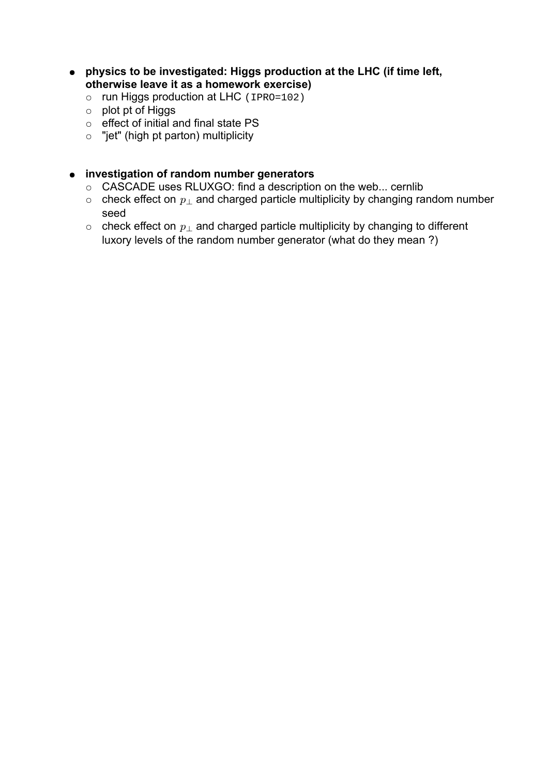- **physics to be investigated: Higgs production at the LHC (if time left, otherwise leave it as a homework exercise)**
	- run Higgs production at LHC (IPRO=102)
	- plot pt of Higgs
	- o effect of initial and final state PS
	- $\circ$  "jet" (high pt parton) multiplicity

# ● **investigation of random number generators**

- CASCADE uses RLUXGO: find a description on the web... cernlib
- $\circ$  check effect on  $p_\perp$  and charged particle multiplicity by changing random number seed
- $\circ$  check effect on  $p_\perp$  and charged particle multiplicity by changing to different luxory levels of the random number generator (what do they mean ?)